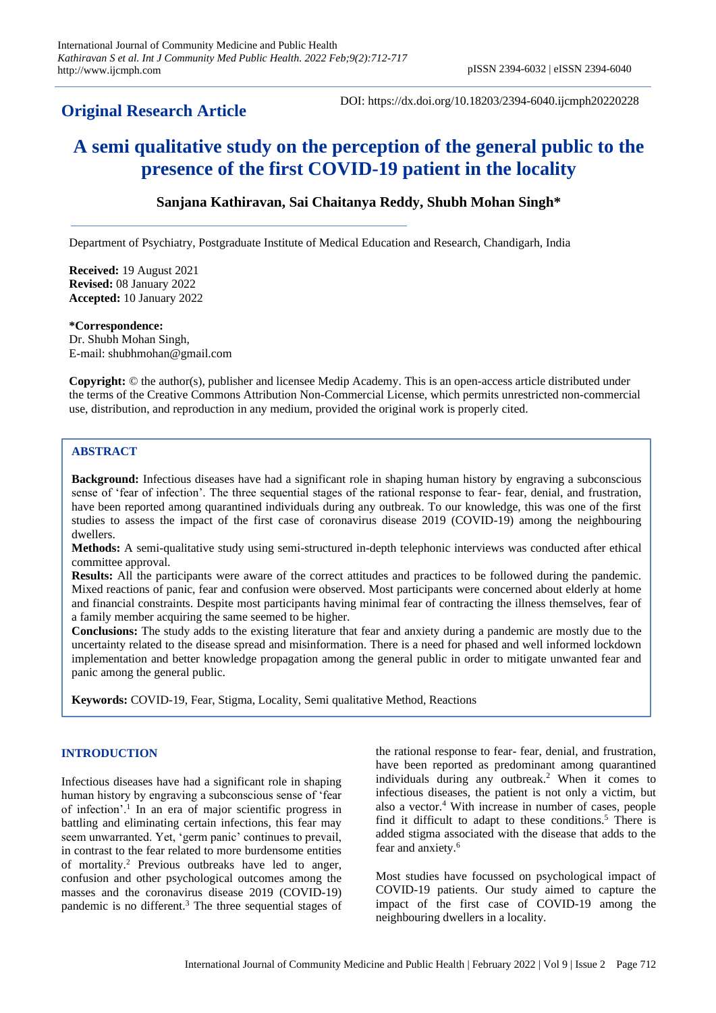# **Original Research Article**

DOI: https://dx.doi.org/10.18203/2394-6040.ijcmph20220228

# **A semi qualitative study on the perception of the general public to the presence of the first COVID-19 patient in the locality**

## **Sanjana Kathiravan, Sai Chaitanya Reddy, Shubh Mohan Singh\***

Department of Psychiatry, Postgraduate Institute of Medical Education and Research, Chandigarh, India

**Received:** 19 August 2021 **Revised:** 08 January 2022 **Accepted:** 10 January 2022

**\*Correspondence:** Dr. Shubh Mohan Singh, E-mail: shubhmohan@gmail.com

**Copyright:** © the author(s), publisher and licensee Medip Academy. This is an open-access article distributed under the terms of the Creative Commons Attribution Non-Commercial License, which permits unrestricted non-commercial use, distribution, and reproduction in any medium, provided the original work is properly cited.

#### **ABSTRACT**

**Background:** Infectious diseases have had a significant role in shaping human history by engraving a subconscious sense of 'fear of infection'. The three sequential stages of the rational response to fear- fear, denial, and frustration, have been reported among quarantined individuals during any outbreak. To our knowledge, this was one of the first studies to assess the impact of the first case of coronavirus disease 2019 (COVID-19) among the neighbouring dwellers.

**Methods:** A semi-qualitative study using semi-structured in-depth telephonic interviews was conducted after ethical committee approval.

**Results:** All the participants were aware of the correct attitudes and practices to be followed during the pandemic. Mixed reactions of panic, fear and confusion were observed. Most participants were concerned about elderly at home and financial constraints. Despite most participants having minimal fear of contracting the illness themselves, fear of a family member acquiring the same seemed to be higher.

**Conclusions:** The study adds to the existing literature that fear and anxiety during a pandemic are mostly due to the uncertainty related to the disease spread and misinformation. There is a need for phased and well informed lockdown implementation and better knowledge propagation among the general public in order to mitigate unwanted fear and panic among the general public.

**Keywords:** COVID-19, Fear, Stigma, Locality, Semi qualitative Method, Reactions

#### **INTRODUCTION**

Infectious diseases have had a significant role in shaping human history by engraving a subconscious sense of 'fear of infection'.<sup>1</sup> In an era of major scientific progress in battling and eliminating certain infections, this fear may seem unwarranted. Yet, 'germ panic' continues to prevail, in contrast to the fear related to more burdensome entities of mortality.<sup>2</sup> Previous outbreaks have led to anger, confusion and other psychological outcomes among the masses and the coronavirus disease 2019 (COVID-19) pandemic is no different.<sup>3</sup> The three sequential stages of

the rational response to fear- fear, denial, and frustration, have been reported as predominant among quarantined individuals during any outbreak. <sup>2</sup> When it comes to infectious diseases, the patient is not only a victim, but also a vector.<sup>4</sup> With increase in number of cases, people find it difficult to adapt to these conditions.<sup>5</sup> There is added stigma associated with the disease that adds to the fear and anxiety.<sup>6</sup>

Most studies have focussed on psychological impact of COVID-19 patients. Our study aimed to capture the impact of the first case of COVID-19 among the neighbouring dwellers in a locality.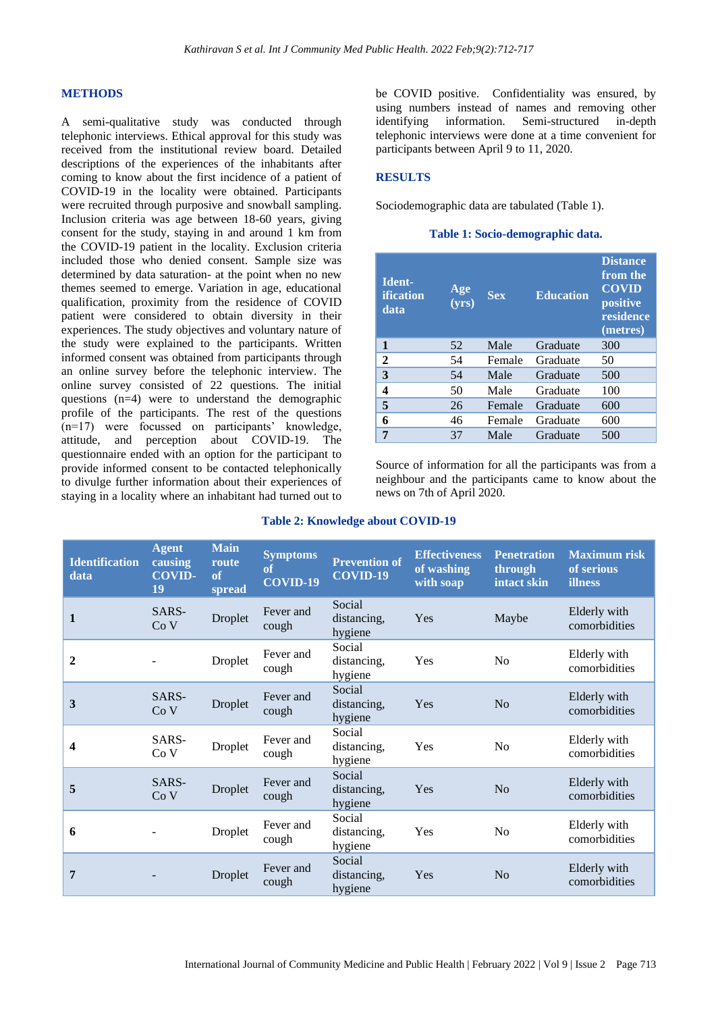#### **METHODS**

A semi-qualitative study was conducted through telephonic interviews. Ethical approval for this study was received from the institutional review board. Detailed descriptions of the experiences of the inhabitants after coming to know about the first incidence of a patient of COVID-19 in the locality were obtained. Participants were recruited through purposive and snowball sampling. Inclusion criteria was age between 18-60 years, giving consent for the study, staying in and around 1 km from the COVID-19 patient in the locality. Exclusion criteria included those who denied consent. Sample size was determined by data saturation- at the point when no new themes seemed to emerge. Variation in age, educational qualification, proximity from the residence of COVID patient were considered to obtain diversity in their experiences. The study objectives and voluntary nature of the study were explained to the participants. Written informed consent was obtained from participants through an online survey before the telephonic interview. The online survey consisted of 22 questions. The initial questions (n=4) were to understand the demographic profile of the participants. The rest of the questions (n=17) were focussed on participants' knowledge, attitude, and perception about COVID-19. The questionnaire ended with an option for the participant to provide informed consent to be contacted telephonically to divulge further information about their experiences of staying in a locality where an inhabitant had turned out to

be COVID positive. Confidentiality was ensured, by using numbers instead of names and removing other identifying information. Semi-structured in-depth telephonic interviews were done at a time convenient for participants between April 9 to 11, 2020.

#### **RESULTS**

Sociodemographic data are tabulated (Table 1).

#### **Table 1: Socio-demographic data.**

| Ident-<br><i>ification</i><br>data | Age<br>$(\overline{yrs})$ | <b>Sex</b> | <b>Education</b> | <b>Distance</b><br>from the<br><b>COVID</b><br>positive<br>residence<br>(metres) |
|------------------------------------|---------------------------|------------|------------------|----------------------------------------------------------------------------------|
| 1                                  | 52                        | Male       | Graduate         | 300                                                                              |
| $\mathbf{2}$                       | 54                        | Female     | Graduate         | 50                                                                               |
| 3                                  | 54                        | Male       | Graduate         | 500                                                                              |
| 4                                  | 50                        | Male       | Graduate         | 100                                                                              |
| 5                                  | 26                        | Female     | Graduate         | 600                                                                              |
| 6                                  | 46                        | Female     | Graduate         | 600                                                                              |
| 7                                  | 37                        | Male       | Graduate         | 500                                                                              |

Source of information for all the participants was from a neighbour and the participants came to know about the news on 7th of April 2020.

#### **Table 2: Knowledge about COVID-19**

| <b>Identification</b><br>data | <b>Agent</b><br>causing<br><b>COVID-</b><br>19 | <b>Main</b><br>route<br><sub>of</sub><br>spread | <b>Symptoms</b><br>of<br><b>COVID-19</b> | <b>Prevention of</b><br><b>COVID-19</b> | <b>Effectiveness</b><br>of washing<br>with soap | <b>Penetration</b><br>through<br>intact skin | <b>Maximum</b> risk<br>of serious<br><b>illness</b> |
|-------------------------------|------------------------------------------------|-------------------------------------------------|------------------------------------------|-----------------------------------------|-------------------------------------------------|----------------------------------------------|-----------------------------------------------------|
| $\mathbf{1}$                  | SARS-<br>Co <sub>V</sub>                       | Droplet                                         | Fever and<br>cough                       | Social<br>distancing,<br>hygiene        | Yes                                             | Maybe                                        | Elderly with<br>comorbidities                       |
| 2                             |                                                | Droplet                                         | Fever and<br>cough                       | Social<br>distancing,<br>hygiene        | Yes                                             | N <sub>o</sub>                               | Elderly with<br>comorbidities                       |
| 3                             | SARS-<br>Co <sub>V</sub>                       | Droplet                                         | Fever and<br>cough                       | Social<br>distancing,<br>hygiene        | Yes                                             | No                                           | Elderly with<br>comorbidities                       |
| 4                             | SARS-<br>Co <sub>V</sub>                       | Droplet                                         | Fever and<br>cough                       | Social<br>distancing,<br>hygiene        | Yes                                             | N <sub>o</sub>                               | Elderly with<br>comorbidities                       |
| 5                             | SARS-<br>Co <sub>V</sub>                       | Droplet                                         | Fever and<br>cough                       | Social<br>distancing,<br>hygiene        | Yes                                             | No                                           | Elderly with<br>comorbidities                       |
| 6                             |                                                | Droplet                                         | Fever and<br>cough                       | Social<br>distancing,<br>hygiene        | Yes                                             | N <sub>o</sub>                               | Elderly with<br>comorbidities                       |
| 7                             |                                                | Droplet                                         | Fever and<br>cough                       | Social<br>distancing,<br>hygiene        | Yes                                             | N <sub>o</sub>                               | Elderly with<br>comorbidities                       |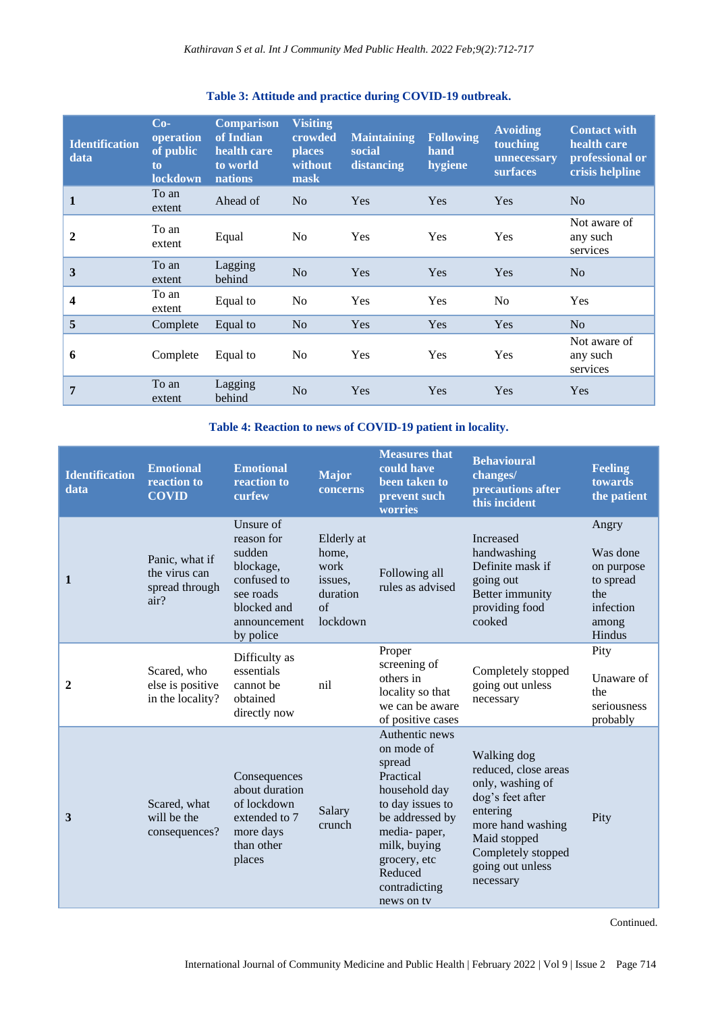| <b>Identification</b><br>data | $Co-$<br>operation<br>of public<br>to<br><b>lockdown</b> | <b>Comparison</b><br>of Indian<br>health care<br>to world<br><b>nations</b> | <b>Visiting</b><br>crowded<br><b>places</b><br>without<br>mask | <b>Maintaining</b><br>social<br>distancing | <b>Following</b><br>hand<br>hygiene | <b>Avoiding</b><br>touching<br>unnecessary<br>surfaces | <b>Contact with</b><br>health care<br>professional or<br>crisis helpline |
|-------------------------------|----------------------------------------------------------|-----------------------------------------------------------------------------|----------------------------------------------------------------|--------------------------------------------|-------------------------------------|--------------------------------------------------------|--------------------------------------------------------------------------|
| $\mathbf{1}$                  | To an<br>extent                                          | Ahead of                                                                    | No                                                             | Yes                                        | <b>Yes</b>                          | Yes                                                    | N <sub>o</sub>                                                           |
| $\overline{2}$                | To an<br>extent                                          | Equal                                                                       | No                                                             | Yes                                        | Yes                                 | Yes                                                    | Not aware of<br>any such<br>services                                     |
| $\mathbf{3}$                  | To an<br>extent                                          | Lagging<br>behind                                                           | N <sub>o</sub>                                                 | Yes                                        | Yes                                 | Yes                                                    | No                                                                       |
| $\overline{\mathbf{4}}$       | To an<br>extent                                          | Equal to                                                                    | N <sub>0</sub>                                                 | Yes                                        | Yes                                 | N <sub>o</sub>                                         | Yes                                                                      |
| 5                             | Complete                                                 | Equal to                                                                    | No                                                             | Yes                                        | Yes                                 | Yes                                                    | N <sub>o</sub>                                                           |
| 6                             | Complete                                                 | Equal to                                                                    | No                                                             | Yes                                        | Yes                                 | Yes                                                    | Not aware of<br>any such<br>services                                     |
| 7                             | To an<br>extent                                          | Lagging<br>behind                                                           | N <sub>o</sub>                                                 | Yes                                        | Yes                                 | Yes                                                    | <b>Yes</b>                                                               |

# **Table 3: Attitude and practice during COVID-19 outbreak.**

### **Table 4: Reaction to news of COVID-19 patient in locality.**

| <b>Identification</b><br>data | <b>Emotional</b><br>reaction to<br><b>COVID</b>           | <b>Emotional</b><br>reaction to<br>curfew                                                                              | <b>Major</b><br>concerns                                             | <b>Measures that</b><br>could have<br>been taken to<br>prevent such<br>worries                                                                                                                        | <b>Behavioural</b><br>changes/<br>precautions after<br>this incident                                                                                                                | <b>Feeling</b><br>towards<br>the patient                                            |
|-------------------------------|-----------------------------------------------------------|------------------------------------------------------------------------------------------------------------------------|----------------------------------------------------------------------|-------------------------------------------------------------------------------------------------------------------------------------------------------------------------------------------------------|-------------------------------------------------------------------------------------------------------------------------------------------------------------------------------------|-------------------------------------------------------------------------------------|
| 1                             | Panic, what if<br>the virus can<br>spread through<br>air? | Unsure of<br>reason for<br>sudden<br>blockage,<br>confused to<br>see roads<br>blocked and<br>announcement<br>by police | Elderly at<br>home,<br>work<br>issues.<br>duration<br>of<br>lockdown | Following all<br>rules as advised                                                                                                                                                                     | Increased<br>handwashing<br>Definite mask if<br>going out<br>Better immunity<br>providing food<br>cooked                                                                            | Angry<br>Was done<br>on purpose<br>to spread<br>the<br>infection<br>among<br>Hindus |
| $\mathbf{2}$                  | Scared, who<br>else is positive<br>in the locality?       | Difficulty as<br>essentials<br>cannot be<br>obtained<br>directly now                                                   | nil                                                                  | Proper<br>screening of<br>others in<br>locality so that<br>we can be aware<br>of positive cases                                                                                                       | Completely stopped<br>going out unless<br>necessary                                                                                                                                 | Pity<br>Unaware of<br>the<br>seriousness<br>probably                                |
| 3                             | Scared, what<br>will be the<br>consequences?              | Consequences<br>about duration<br>of lockdown<br>extended to 7<br>more days<br>than other<br>places                    | Salary<br>crunch                                                     | Authentic news<br>on mode of<br>spread<br>Practical<br>household day<br>to day issues to<br>be addressed by<br>media-paper,<br>milk, buying<br>grocery, etc<br>Reduced<br>contradicting<br>news on ty | Walking dog<br>reduced, close areas<br>only, washing of<br>dog's feet after<br>entering<br>more hand washing<br>Maid stopped<br>Completely stopped<br>going out unless<br>necessary | Pity                                                                                |

Continued.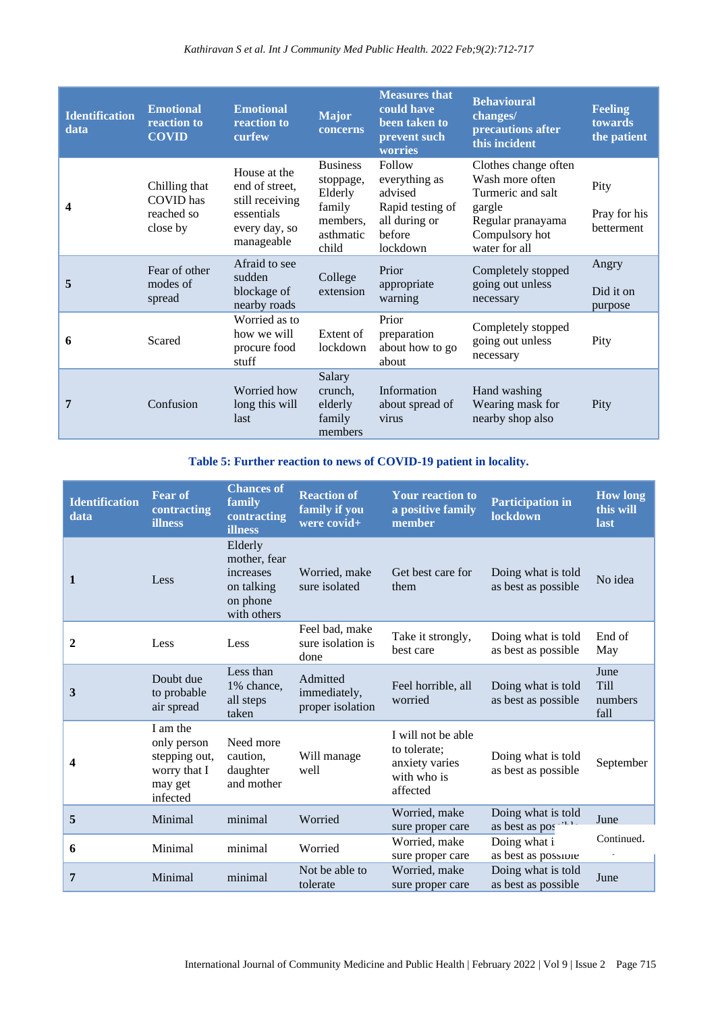| <b>Identification</b><br>data | <b>Emotional</b><br>reaction to<br><b>COVID</b>      | <b>Emotional</b><br>reaction to<br>curfew                                                      | <b>Major</b><br>concerns                                                            | <b>Measures that</b><br>could have<br>been taken to<br>prevent such<br>worries                | <b>Behavioural</b><br>changes/<br>precautions after<br>this incident                                                           | <b>Feeling</b><br>towards<br>the patient |
|-------------------------------|------------------------------------------------------|------------------------------------------------------------------------------------------------|-------------------------------------------------------------------------------------|-----------------------------------------------------------------------------------------------|--------------------------------------------------------------------------------------------------------------------------------|------------------------------------------|
| 4                             | Chilling that<br>COVID has<br>reached so<br>close by | House at the<br>end of street,<br>still receiving<br>essentials<br>every day, so<br>manageable | <b>Business</b><br>stoppage,<br>Elderly<br>family<br>members,<br>asthmatic<br>child | Follow<br>everything as<br>advised<br>Rapid testing of<br>all during or<br>before<br>lockdown | Clothes change often<br>Wash more often<br>Turmeric and salt<br>gargle<br>Regular pranayama<br>Compulsory hot<br>water for all | Pity<br>Pray for his<br>betterment       |
| 5                             | Fear of other<br>modes of<br>spread                  | Afraid to see<br>sudden<br>blockage of<br>nearby roads                                         | College<br>extension                                                                | Prior<br>appropriate<br>warning                                                               | Completely stopped<br>going out unless<br>necessary                                                                            | Angry<br>Did it on<br>purpose            |
| 6                             | Scared                                               | Worried as to<br>how we will<br>procure food<br>stuff                                          | Extent of<br>lockdown                                                               | Prior<br>preparation<br>about how to go<br>about                                              | Completely stopped<br>going out unless<br>necessary                                                                            | Pity                                     |
| 7                             | Confusion                                            | Worried how<br>long this will<br>last                                                          | Salary<br>crunch,<br>elderly<br>family<br>members                                   | Information<br>about spread of<br>virus                                                       | Hand washing<br>Wearing mask for<br>nearby shop also                                                                           | Pity                                     |

**Table 5: Further reaction to news of COVID-19 patient in locality.**

| <b>Identification</b><br>data | <b>Fear of</b><br>contracting<br><b>illness</b>                                 | <b>Chances of</b><br>family<br>contracting<br><b>illness</b>                  | <b>Reaction of</b><br>family if you<br>were covid+ | <b>Your reaction to</b><br>a positive family<br>member                          | <b>Participation in</b><br>lockdown       | <b>How long</b><br>this will<br>last |
|-------------------------------|---------------------------------------------------------------------------------|-------------------------------------------------------------------------------|----------------------------------------------------|---------------------------------------------------------------------------------|-------------------------------------------|--------------------------------------|
| $\mathbf{1}$                  | Less                                                                            | Elderly<br>mother, fear<br>increases<br>on talking<br>on phone<br>with others | Worried, make<br>sure isolated                     | Get best care for<br>them                                                       | Doing what is told<br>as best as possible | No idea                              |
| $\mathbf{2}$                  | Less                                                                            | Less                                                                          | Feel bad, make<br>sure isolation is<br>done        | Take it strongly,<br>best care                                                  | Doing what is told<br>as best as possible | End of<br>May                        |
| 3                             | Doubt due<br>to probable<br>air spread                                          | Less than<br>1% chance,<br>all steps<br>taken                                 | Admitted<br>immediately,<br>proper isolation       | Feel horrible, all<br>worried                                                   | Doing what is told<br>as best as possible | June<br>Till<br>numbers<br>fall      |
| 4                             | I am the<br>only person<br>stepping out,<br>worry that I<br>may get<br>infected | Need more<br>caution.<br>daughter<br>and mother                               | Will manage<br>well                                | I will not be able<br>to tolerate;<br>anxiety varies<br>with who is<br>affected | Doing what is told<br>as best as possible | September                            |
| 5                             | Minimal                                                                         | minimal                                                                       | Worried                                            | Worried, make<br>sure proper care                                               | Doing what is told<br>as best as pos      | June                                 |
| 6                             | Minimal                                                                         | minimal                                                                       | Worried                                            | Worried, make<br>sure proper care                                               | Doing what is<br>as best as possible      | Continued.                           |
| 7                             | Minimal                                                                         | minimal                                                                       | Not be able to<br>tolerate                         | Worried, make<br>sure proper care                                               | Doing what is told<br>as best as possible | June                                 |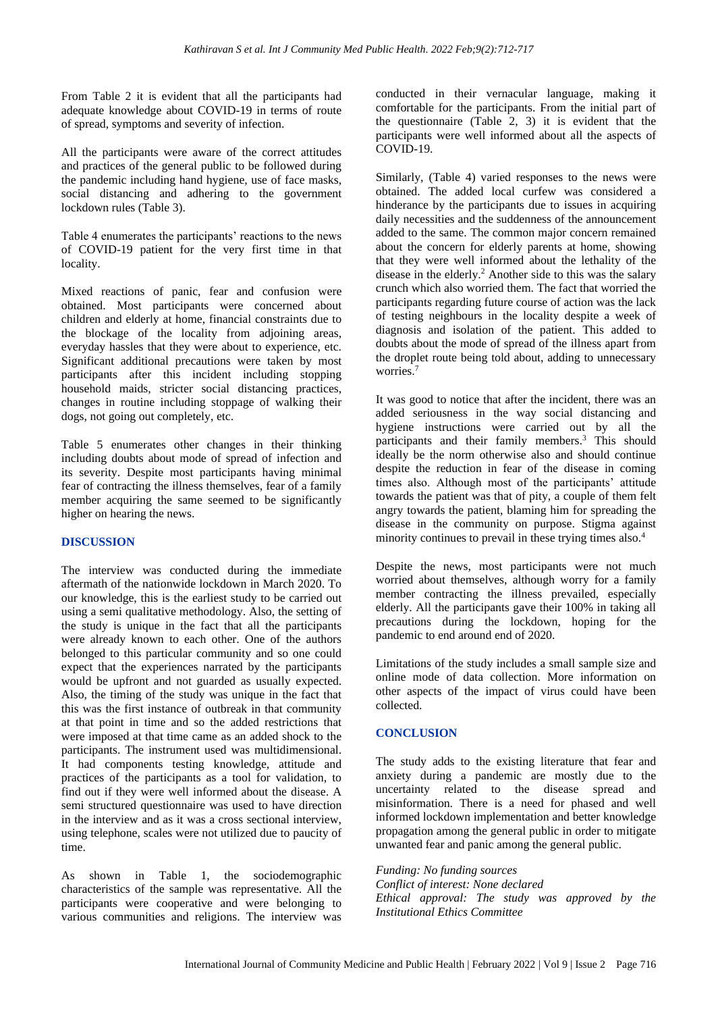From Table 2 it is evident that all the participants had adequate knowledge about COVID-19 in terms of route of spread, symptoms and severity of infection.

All the participants were aware of the correct attitudes and practices of the general public to be followed during the pandemic including hand hygiene, use of face masks, social distancing and adhering to the government lockdown rules (Table 3).

Table 4 enumerates the participants' reactions to the news of COVID-19 patient for the very first time in that locality.

Mixed reactions of panic, fear and confusion were obtained. Most participants were concerned about children and elderly at home, financial constraints due to the blockage of the locality from adjoining areas, everyday hassles that they were about to experience, etc. Significant additional precautions were taken by most participants after this incident including stopping household maids, stricter social distancing practices, changes in routine including stoppage of walking their dogs, not going out completely, etc.

Table 5 enumerates other changes in their thinking including doubts about mode of spread of infection and its severity. Despite most participants having minimal fear of contracting the illness themselves, fear of a family member acquiring the same seemed to be significantly higher on hearing the news.

# **DISCUSSION**

The interview was conducted during the immediate aftermath of the nationwide lockdown in March 2020. To our knowledge, this is the earliest study to be carried out using a semi qualitative methodology. Also, the setting of the study is unique in the fact that all the participants were already known to each other. One of the authors belonged to this particular community and so one could expect that the experiences narrated by the participants would be upfront and not guarded as usually expected. Also, the timing of the study was unique in the fact that this was the first instance of outbreak in that community at that point in time and so the added restrictions that were imposed at that time came as an added shock to the participants. The instrument used was multidimensional. It had components testing knowledge, attitude and practices of the participants as a tool for validation, to find out if they were well informed about the disease. A semi structured questionnaire was used to have direction in the interview and as it was a cross sectional interview, using telephone, scales were not utilized due to paucity of time.

As shown in Table 1, the sociodemographic characteristics of the sample was representative. All the participants were cooperative and were belonging to various communities and religions. The interview was

conducted in their vernacular language, making it comfortable for the participants. From the initial part of the questionnaire (Table 2, 3) it is evident that the participants were well informed about all the aspects of COVID-19.

Similarly, (Table 4) varied responses to the news were obtained. The added local curfew was considered a hinderance by the participants due to issues in acquiring daily necessities and the suddenness of the announcement added to the same. The common major concern remained about the concern for elderly parents at home, showing that they were well informed about the lethality of the disease in the elderly.<sup>2</sup> Another side to this was the salary crunch which also worried them. The fact that worried the participants regarding future course of action was the lack of testing neighbours in the locality despite a week of diagnosis and isolation of the patient. This added to doubts about the mode of spread of the illness apart from the droplet route being told about, adding to unnecessary worries.<sup>7</sup>

It was good to notice that after the incident, there was an added seriousness in the way social distancing and hygiene instructions were carried out by all the participants and their family members.<sup>3</sup> This should ideally be the norm otherwise also and should continue despite the reduction in fear of the disease in coming times also. Although most of the participants' attitude towards the patient was that of pity, a couple of them felt angry towards the patient, blaming him for spreading the disease in the community on purpose. Stigma against minority continues to prevail in these trying times also.<sup>4</sup>

Despite the news, most participants were not much worried about themselves, although worry for a family member contracting the illness prevailed, especially elderly. All the participants gave their 100% in taking all precautions during the lockdown, hoping for the pandemic to end around end of 2020.

Limitations of the study includes a small sample size and online mode of data collection. More information on other aspects of the impact of virus could have been collected.

#### **CONCLUSION**

The study adds to the existing literature that fear and anxiety during a pandemic are mostly due to the uncertainty related to the disease spread and misinformation. There is a need for phased and well informed lockdown implementation and better knowledge propagation among the general public in order to mitigate unwanted fear and panic among the general public.

*Funding: No funding sources Conflict of interest: None declared Ethical approval: The study was approved by the Institutional Ethics Committee*